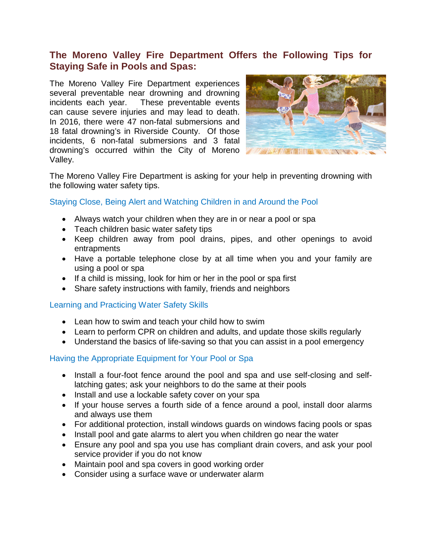# **The Moreno Valley Fire Department Offers the Following Tips for Staying Safe in Pools and Spas:**

The Moreno Valley Fire Department experiences several preventable near drowning and drowning incidents each year. These preventable events can cause severe injuries and may lead to death. In 2016, there were 47 non-fatal submersions and 18 fatal drowning's in Riverside County. Of those incidents, 6 non-fatal submersions and 3 fatal drowning's occurred within the City of Moreno Valley.



The Moreno Valley Fire Department is asking for your help in preventing drowning with the following water safety tips.

## Staying Close, Being Alert and Watching Children in and Around the Pool

- Always watch your children when they are in or near a pool or spa
- Teach children basic water safety tips
- Keep children away from pool drains, pipes, and other openings to avoid entrapments
- Have a portable telephone close by at all time when you and your family are using a pool or spa
- If a child is missing, look for him or her in the pool or spa first
- Share safety instructions with family, friends and neighbors

## Learning and Practicing Water Safety Skills

- Lean how to swim and teach your child how to swim
- Learn to perform CPR on children and adults, and update those skills regularly
- Understand the basics of life-saving so that you can assist in a pool emergency

## Having the Appropriate Equipment for Your Pool or Spa

- Install a four-foot fence around the pool and spa and use self-closing and selflatching gates; ask your neighbors to do the same at their pools
- Install and use a lockable safety cover on your spa
- If your house serves a fourth side of a fence around a pool, install door alarms and always use them
- For additional protection, install windows guards on windows facing pools or spas
- Install pool and gate alarms to alert you when children go near the water
- Ensure any pool and spa you use has compliant drain covers, and ask your pool service provider if you do not know
- Maintain pool and spa covers in good working order
- Consider using a surface wave or underwater alarm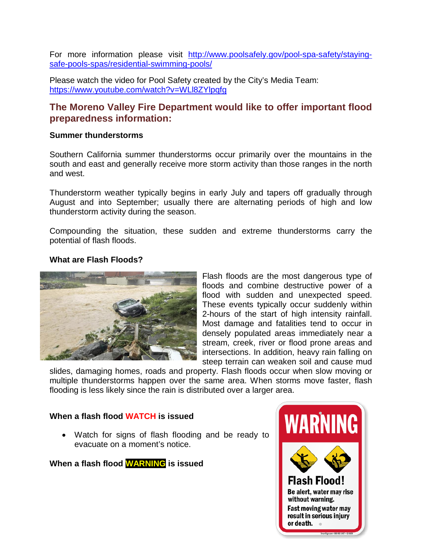For more information please visit [http://www.poolsafely.gov/pool-spa-safety/staying](http://www.poolsafely.gov/pool-spa-safety/staying-safe-pools-spas/residential-swimming-pools/)[safe-pools-spas/residential-swimming-pools/](http://www.poolsafely.gov/pool-spa-safety/staying-safe-pools-spas/residential-swimming-pools/)

Please watch the video for Pool Safety created by the City's Media Team: <https://www.youtube.com/watch?v=WLl8ZYlpqfg>

# **The Moreno Valley Fire Department would like to offer important flood preparedness information:**

#### **Summer thunderstorms**

Southern California summer thunderstorms occur primarily over the mountains in the south and east and generally receive more storm activity than those ranges in the north and west.

Thunderstorm weather typically begins in early July and tapers off gradually through August and into September; usually there are alternating periods of high and low thunderstorm activity during the season.

Compounding the situation, these sudden and extreme thunderstorms carry the potential of flash floods.

#### **What are Flash Floods?**



Flash floods are the most dangerous type of floods and combine destructive power of a flood with sudden and unexpected speed. These events typically occur suddenly within 2-hours of the start of high intensity rainfall. Most damage and fatalities tend to occur in densely populated areas immediately near a stream, creek, river or flood prone areas and intersections. In addition, heavy rain falling on steep terrain can weaken soil and cause mud

slides, damaging homes, roads and property. Flash floods occur when slow moving or multiple thunderstorms happen over the same area. When storms move faster, flash flooding is less likely since the rain is distributed over a larger area.

#### **When a flash flood WATCH is issued**

• Watch for signs of flash flooding and be ready to evacuate on a moment's notice.

**When a flash flood WARNING is issued**

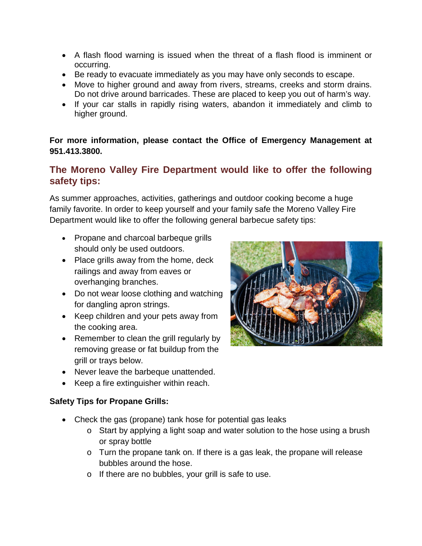- A flash flood warning is issued when the threat of a flash flood is imminent or occurring.
- Be ready to evacuate immediately as you may have only seconds to escape.
- Move to higher ground and away from rivers, streams, creeks and storm drains. Do not drive around barricades. These are placed to keep you out of harm's way.
- If your car stalls in rapidly rising waters, abandon it immediately and climb to higher ground.

## **For more information, please contact the Office of Emergency Management at 951.413.3800.**

# **The Moreno Valley Fire Department would like to offer the following safety tips:**

As summer approaches, activities, gatherings and outdoor cooking become a huge family favorite. In order to keep yourself and your family safe the Moreno Valley Fire Department would like to offer the following general barbecue safety tips:

- Propane and charcoal barbeque grills should only be used outdoors.
- Place grills away from the home, deck railings and away from eaves or overhanging branches.
- Do not wear loose clothing and watching for dangling apron strings.
- Keep children and your pets away from the cooking area.
- Remember to clean the grill regularly by removing grease or fat buildup from the grill or trays below.
- Never leave the barbeque unattended.
- Keep a fire extinguisher within reach.

## **Safety Tips for Propane Grills:**

- Check the gas (propane) tank hose for potential gas leaks
	- o Start by applying a light soap and water solution to the hose using a brush or spray bottle
	- o Turn the propane tank on. If there is a gas leak, the propane will release bubbles around the hose.
	- o If there are no bubbles, your grill is safe to use.